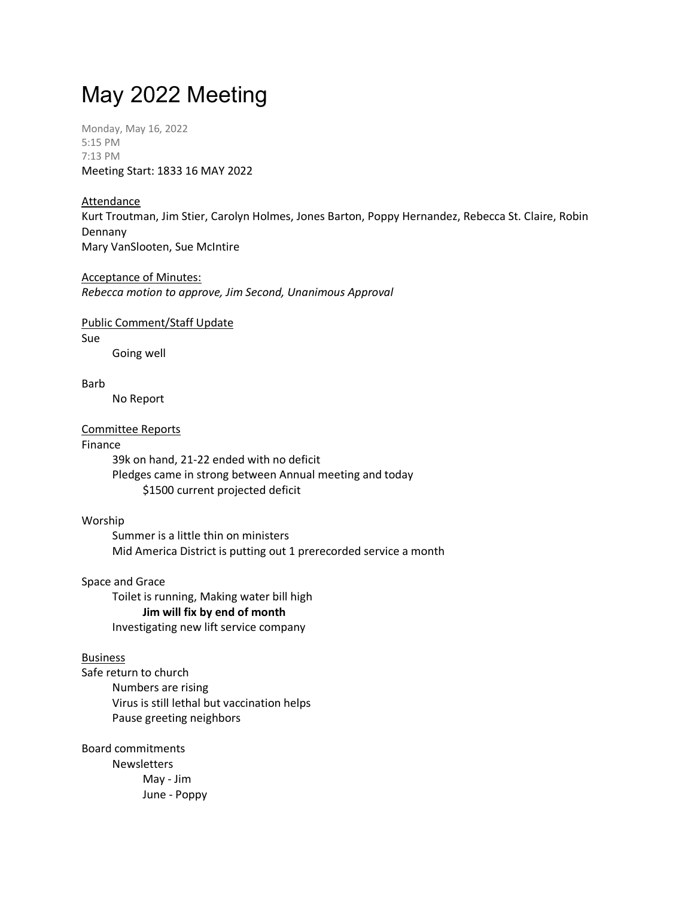# May 2022 Meeting

Monday, May 16, 2022 5:15 PM 7:13 PM Meeting Start: 1833 16 MAY 2022

# Attendance

Kurt Troutman, Jim Stier, Carolyn Holmes, Jones Barton, Poppy Hernandez, Rebecca St. Claire, Robin Dennany Mary VanSlooten, Sue McIntire

# Acceptance of Minutes: *Rebecca motion to approve, Jim Second, Unanimous Approval*

Public Comment/Staff Update

Sue

Going well

# Barb

No Report

# Committee Reports

# Finance

39k on hand, 21-22 ended with no deficit Pledges came in strong between Annual meeting and today \$1500 current projected deficit

Worship

Summer is a little thin on ministers Mid America District is putting out 1 prerecorded service a month

Space and Grace

Toilet is running, Making water bill high **Jim will fix by end of month** Investigating new lift service company

# Business

Safe return to church Numbers are rising Virus is still lethal but vaccination helps Pause greeting neighbors

Board commitments Newsletters May - Jim June - Poppy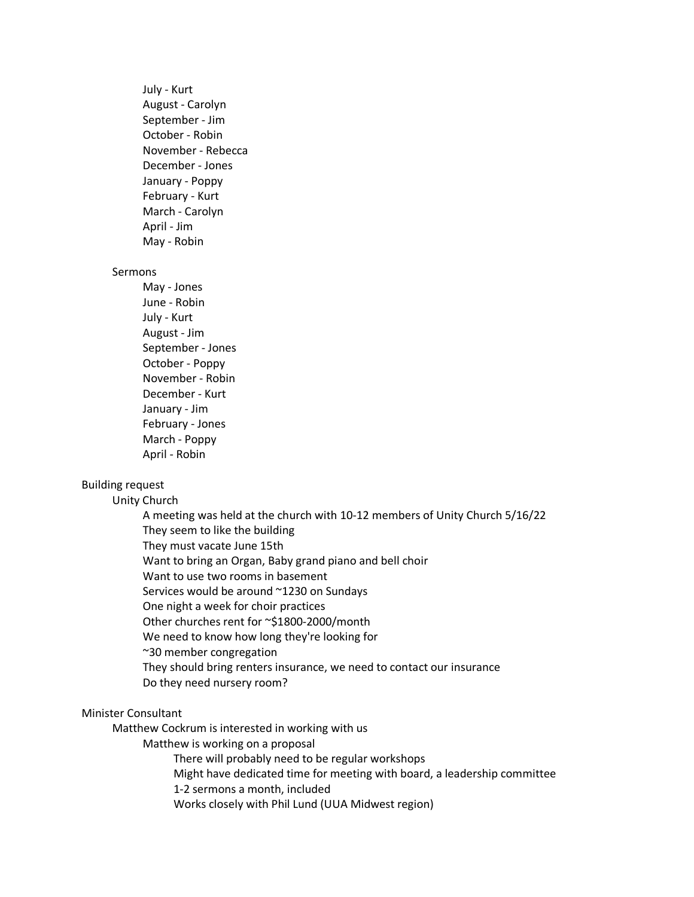July - Kurt August - Carolyn September - Jim October - Robin November - Rebecca December - Jones January - Poppy February - Kurt March - Carolyn April - Jim May - Robin

#### Sermons

May - Jones June - Robin July - Kurt August - Jim September - Jones October - Poppy November - Robin December - Kurt January - Jim February - Jones March - Poppy April - Robin

# Building request

Unity Church

A meeting was held at the church with 10-12 members of Unity Church 5/16/22 They seem to like the building They must vacate June 15th Want to bring an Organ, Baby grand piano and bell choir Want to use two rooms in basement Services would be around ~1230 on Sundays One night a week for choir practices Other churches rent for ~\$1800-2000/month We need to know how long they're looking for ~30 member congregation They should bring renters insurance, we need to contact our insurance Do they need nursery room?

# Minister Consultant

Matthew Cockrum is interested in working with us

Matthew is working on a proposal

There will probably need to be regular workshops

Might have dedicated time for meeting with board, a leadership committee

1-2 sermons a month, included

Works closely with Phil Lund (UUA Midwest region)